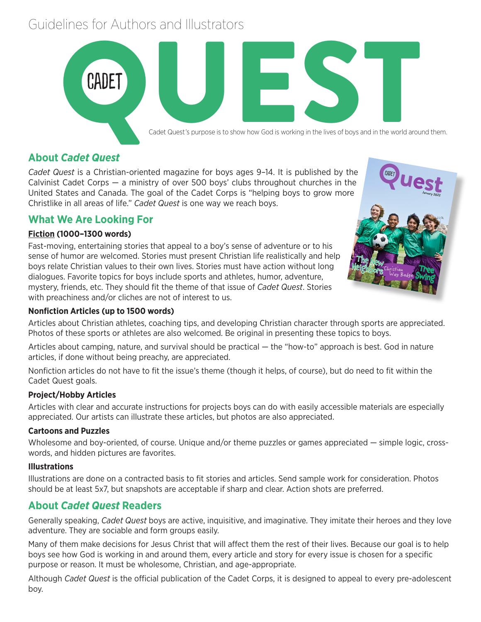# Guidelines for Authors and Illustrators



# **About** *Cadet Quest*

*Cadet Quest* is a Christian-oriented magazine for boys ages 9–14. It is published by the Calvinist Cadet Corps — a ministry of over 500 boys' clubs throughout churches in the United States and Canada. The goal of the Cadet Corps is "helping boys to grow more Christlike in all areas of life." *Cadet Quest* is one way we reach boys.

# **What We Are Looking For**

### **Fiction (1000–1300 words)**

Fast-moving, entertaining stories that appeal to a boy's sense of adventure or to his sense of humor are welcomed. Stories must present Christian life realistically and help boys relate Christian values to their own lives. Stories must have action without long dialogues. Favorite topics for boys include sports and athletes, humor, adventure, mystery, friends, etc. They should fit the theme of that issue of *Cadet Quest*. Stories with preachiness and/or cliches are not of interest to us.



#### **Nonfiction Articles (up to 1500 words)**

Articles about Christian athletes, coaching tips, and developing Christian character through sports are appreciated. Photos of these sports or athletes are also welcomed. Be original in presenting these topics to boys.

Articles about camping, nature, and survival should be practical — the "how-to" approach is best. God in nature articles, if done without being preachy, are appreciated.

Nonfiction articles do not have to fit the issue's theme (though it helps, of course), but do need to fit within the Cadet Quest goals.

#### **Project/Hobby Articles**

Articles with clear and accurate instructions for projects boys can do with easily accessible materials are especially appreciated. Our artists can illustrate these articles, but photos are also appreciated.

#### **Cartoons and Puzzles**

Wholesome and boy-oriented, of course. Unique and/or theme puzzles or games appreciated — simple logic, crosswords, and hidden pictures are favorites.

#### **Illustrations**

Illustrations are done on a contracted basis to fit stories and articles. Send sample work for consideration. Photos should be at least 5x7, but snapshots are acceptable if sharp and clear. Action shots are preferred.

# **About** *Cadet Quest* **Readers**

Generally speaking, *Cadet Quest* boys are active, inquisitive, and imaginative. They imitate their heroes and they love adventure. They are sociable and form groups easily.

Many of them make decisions for Jesus Christ that will affect them the rest of their lives. Because our goal is to help boys see how God is working in and around them, every article and story for every issue is chosen for a specific purpose or reason. It must be wholesome, Christian, and age-appropriate.

Although *Cadet Quest* is the official publication of the Cadet Corps, it is designed to appeal to every pre-adolescent boy.